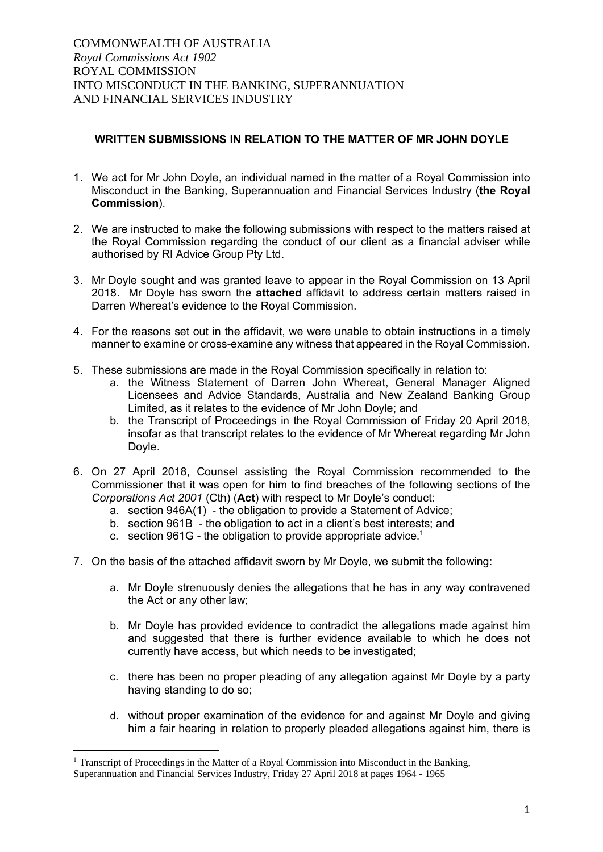## **WRITTEN SUBMISSIONS IN RELATION TO THE MATTER OF MR JOHN DOYLE**

- 1. We act for Mr John Doyle, an individual named in the matter of a Royal Commission into Misconduct in the Banking, Superannuation and Financial Services Industry (**the Royal Commission**).
- 2. We are instructed to make the following submissions with respect to the matters raised at the Royal Commission regarding the conduct of our client as a financial adviser while authorised by RI Advice Group Pty Ltd.
- 3. Mr Doyle sought and was granted leave to appear in the Royal Commission on 13 April 2018. Mr Doyle has sworn the **attached** affidavit to address certain matters raised in Darren Whereat's evidence to the Royal Commission.
- 4. For the reasons set out in the affidavit, we were unable to obtain instructions in a timely manner to examine or cross-examine any witness that appeared in the Royal Commission.
- 5. These submissions are made in the Royal Commission specifically in relation to:
	- a. the Witness Statement of Darren John Whereat, General Manager Aligned Licensees and Advice Standards, Australia and New Zealand Banking Group Limited, as it relates to the evidence of Mr John Doyle; and
	- b. the Transcript of Proceedings in the Royal Commission of Friday 20 April 2018, insofar as that transcript relates to the evidence of Mr Whereat regarding Mr John Doyle.
- 6. On 27 April 2018, Counsel assisting the Royal Commission recommended to the Commissioner that it was open for him to find breaches of the following sections of the *Corporations Act 2001* (Cth) (**Act**) with respect to Mr Doyle's conduct:
	- a. section 946A(1) the obligation to provide a Statement of Advice;
	- b. section 961B the obligation to act in a client's best interests; and
	- c. section 961G the obligation to provide appropriate advice.<sup>1</sup>
- 7. On the basis of the attached affidavit sworn by Mr Doyle, we submit the following:
	- a. Mr Doyle strenuously denies the allegations that he has in any way contravened the Act or any other law;
	- b. Mr Doyle has provided evidence to contradict the allegations made against him and suggested that there is further evidence available to which he does not currently have access, but which needs to be investigated;
	- c. there has been no proper pleading of any allegation against Mr Doyle by a party having standing to do so;
	- d. without proper examination of the evidence for and against Mr Doyle and giving him a fair hearing in relation to properly pleaded allegations against him, there is

 $<sup>1</sup>$  Transcript of Proceedings in the Matter of a Royal Commission into Misconduct in the Banking,</sup> Superannuation and Financial Services Industry, Friday 27 April 2018 at pages 1964 - 1965